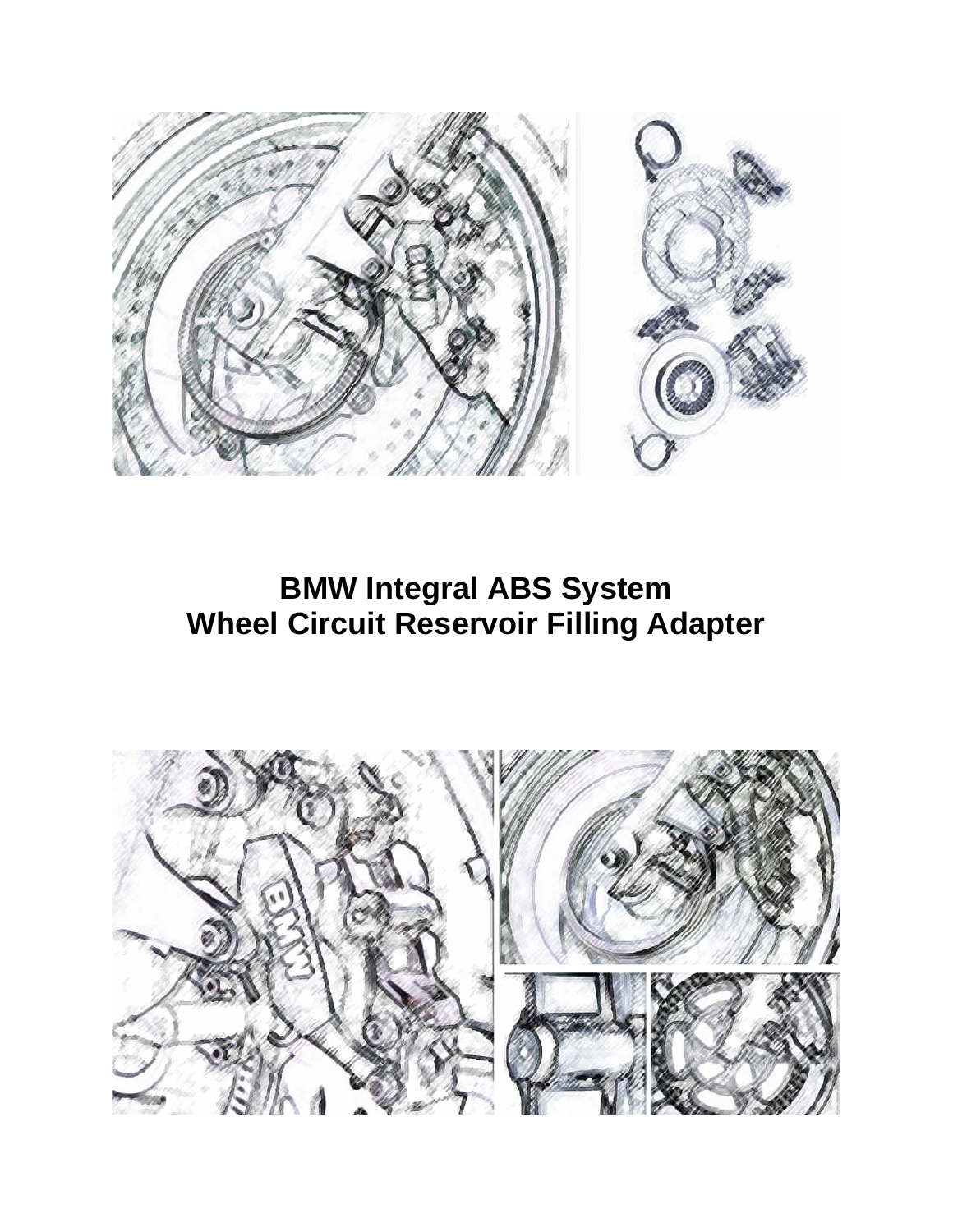

# **BMW Integral ABS System Wheel Circuit Reservoir Filling Adapter**

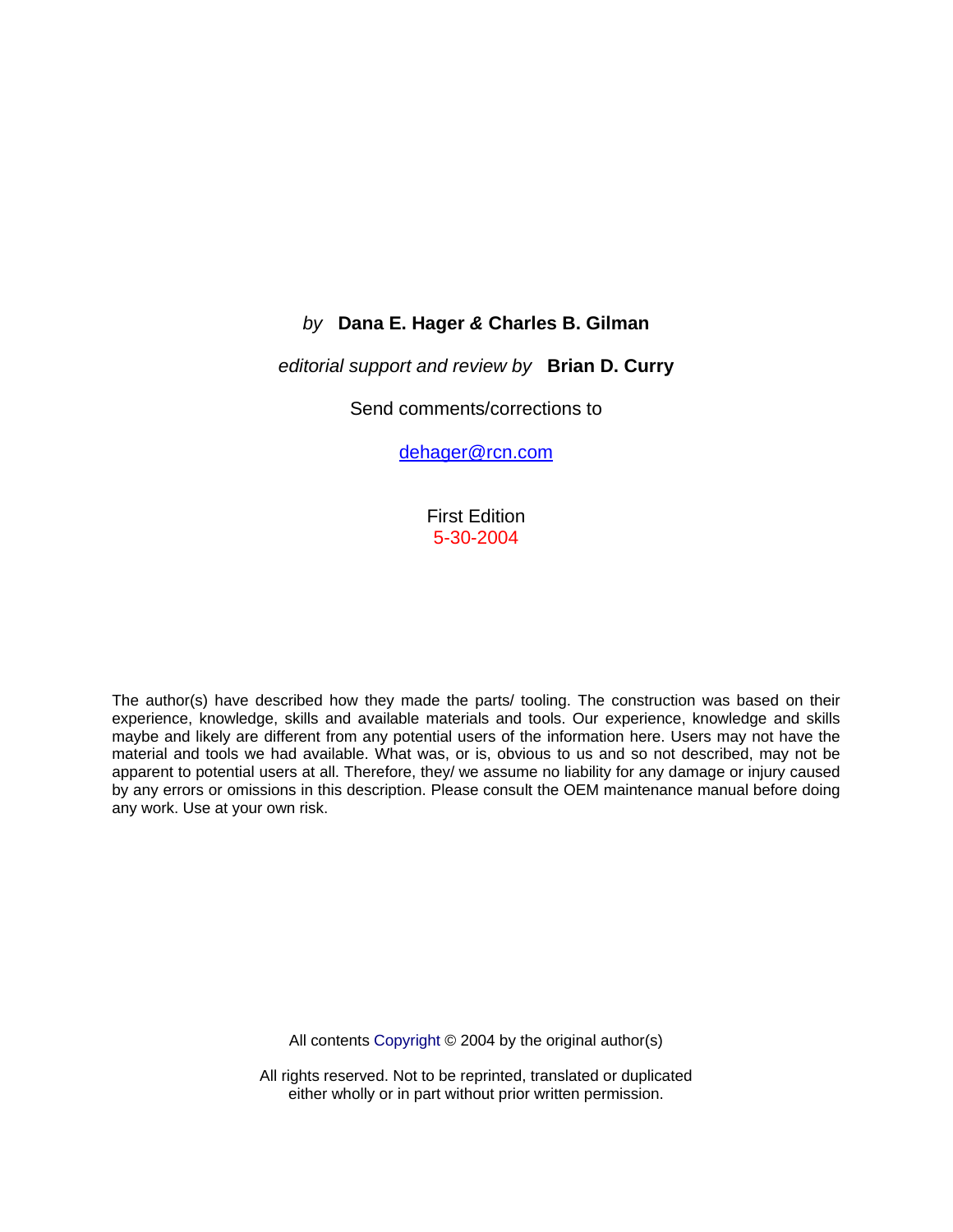### *by* **Dana E. Hager** *&* **Charles B. Gilman**

#### *editorial support and review by* **Brian D. Curry**

Send comments/corrections to

dehager@rcn.com

First Edition 5-30-2004

The author(s) have described how they made the parts/ tooling. The construction was based on their experience, knowledge, skills and available materials and tools. Our experience, knowledge and skills maybe and likely are different from any potential users of the information here. Users may not have the material and tools we had available. What was, or is, obvious to us and so not described, may not be apparent to potential users at all. Therefore, they/ we assume no liability for any damage or injury caused by any errors or omissions in this description. Please consult the OEM maintenance manual before doing any work. Use at your own risk.

All contents Copyright © 2004 by the original author(s)

All rights reserved. Not to be reprinted, translated or duplicated either wholly or in part without prior written permission.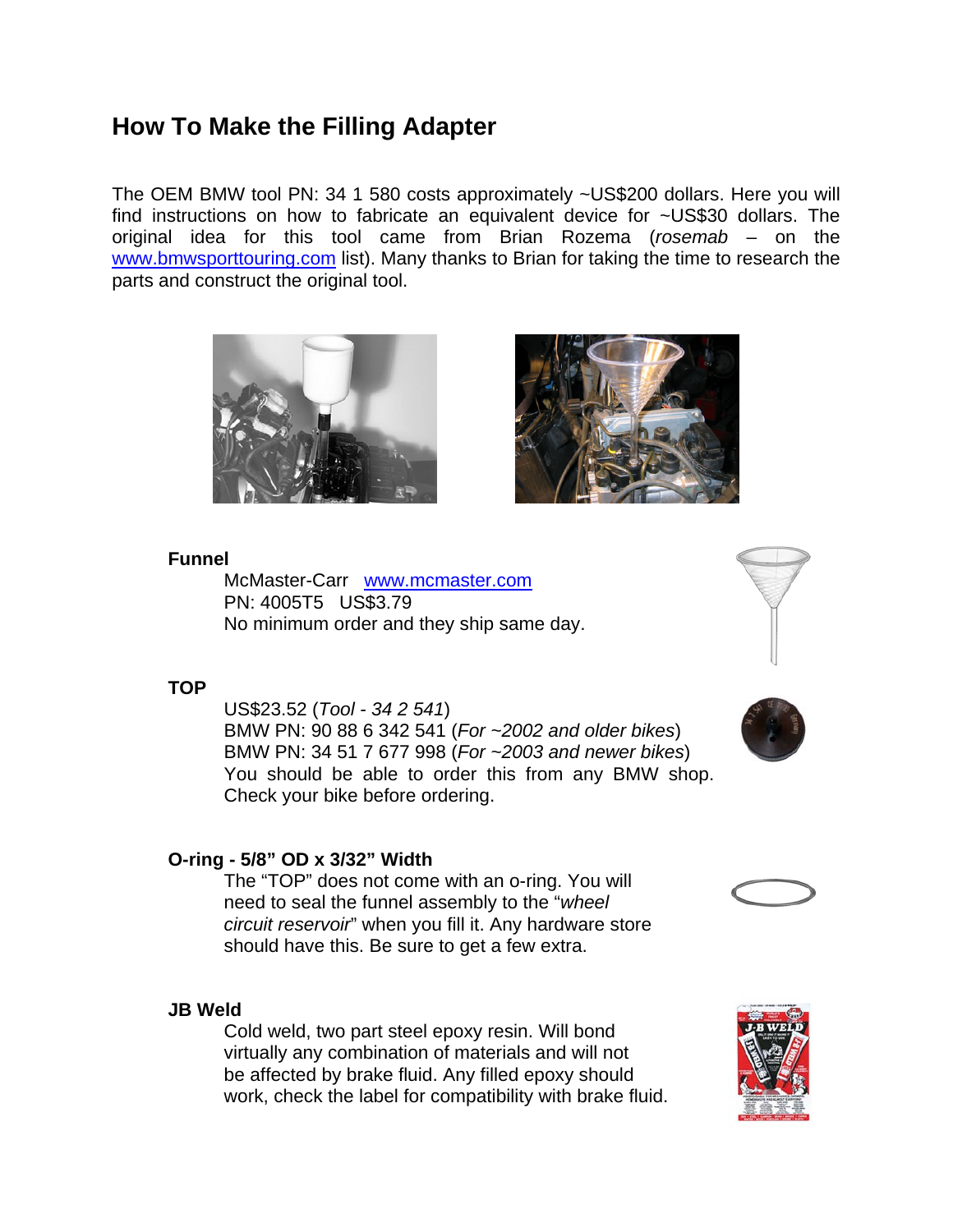# **How To Make the Filling Adapter**

The OEM BMW tool PN: 34 1 580 costs approximately ~US\$200 dollars. Here you will find instructions on how to fabricate an equivalent device for ~US\$30 dollars. The original idea for this tool came from Brian Rozema (*rosemab* – on the www.bmwsporttouring.com list). Many thanks to Brian for taking the time to research the parts and construct the original tool.





### **Funnel**

McMaster-Carr www.mcmaster.com PN: 4005T5 US\$3.79 No minimum order and they ship same day.

#### **TOP**

US\$23.52 (*Tool - 34 2 541*) BMW PN: 90 88 6 342 541 (*For ~2002 and older bikes*) BMW PN: 34 51 7 677 998 (*For ~2003 and newer bikes*) You should be able to order this from any BMW shop. Check your bike before ordering.

### **O-ring - 5/8" OD x 3/32" Width**

The "TOP" does not come with an o-ring. You will need to seal the funnel assembly to the "*wheel circuit reservoir*" when you fill it. Any hardware store should have this. Be sure to get a few extra.

### **JB Weld**

Cold weld, two part steel epoxy resin. Will bond virtually any combination of materials and will not be affected by brake fluid. Any filled epoxy should work, check the label for compatibility with brake fluid.







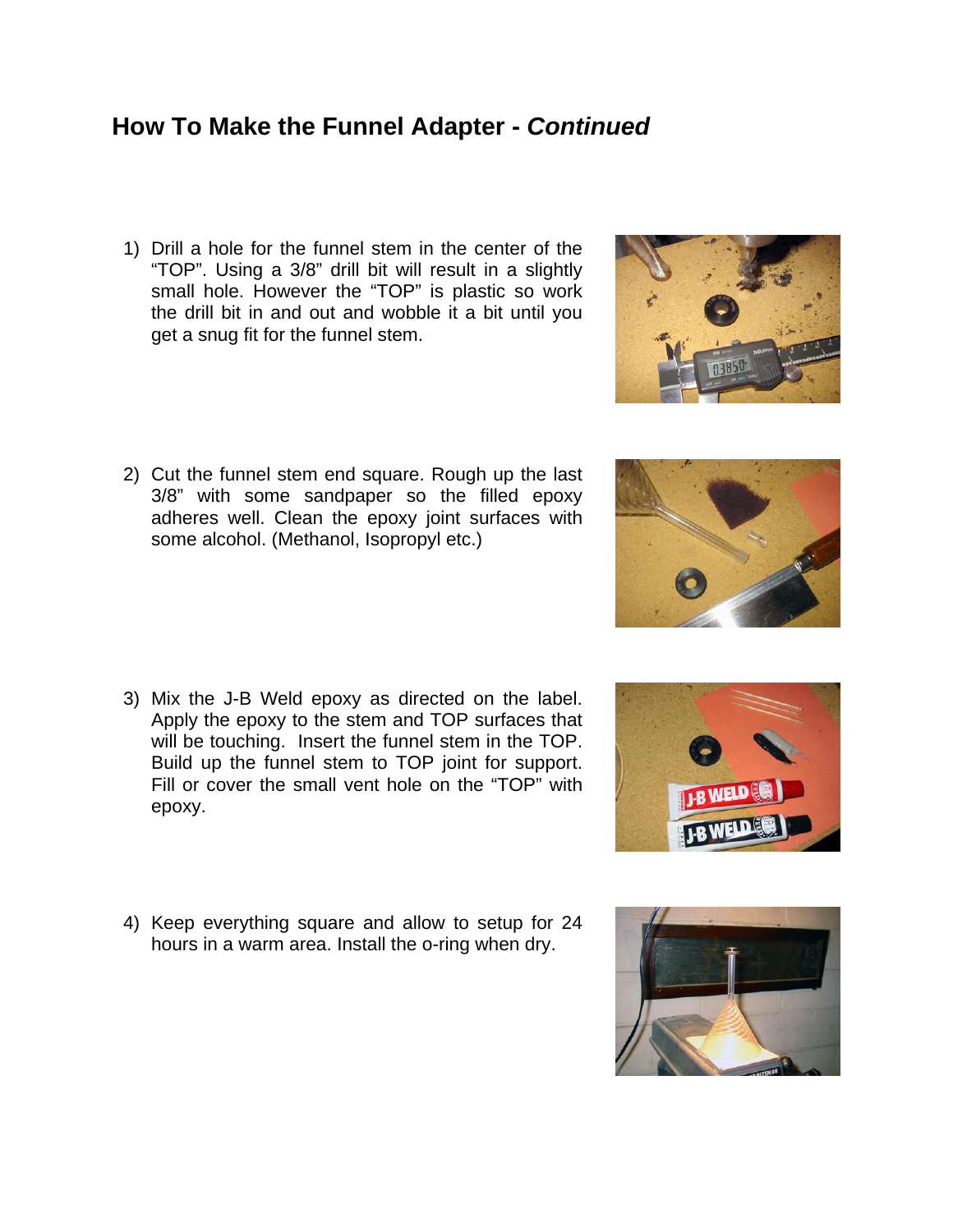## **How To Make the Funnel Adapter -** *Continued*

- 1) Drill a hole for the funnel stem in the center of the "TOP". Using a 3/8" drill bit will result in a slightly small hole. However the "TOP" is plastic so work the drill bit in and out and wobble it a bit until you get a snug fit for the funnel stem.
- 2) Cut the funnel stem end square. Rough up the last 3/8" with some sandpaper so the filled epoxy adheres well. Clean the epoxy joint surfaces with some alcohol. (Methanol, Isopropyl etc.)

- 3) Mix the J-B Weld epoxy as directed on the label. Apply the epoxy to the stem and TOP surfaces that will be touching. Insert the funnel stem in the TOP. Build up the funnel stem to TOP joint for support. Fill or cover the small vent hole on the "TOP" with epoxy.
- 4) Keep everything square and allow to setup for 24 hours in a warm area. Install the o-ring when dry.







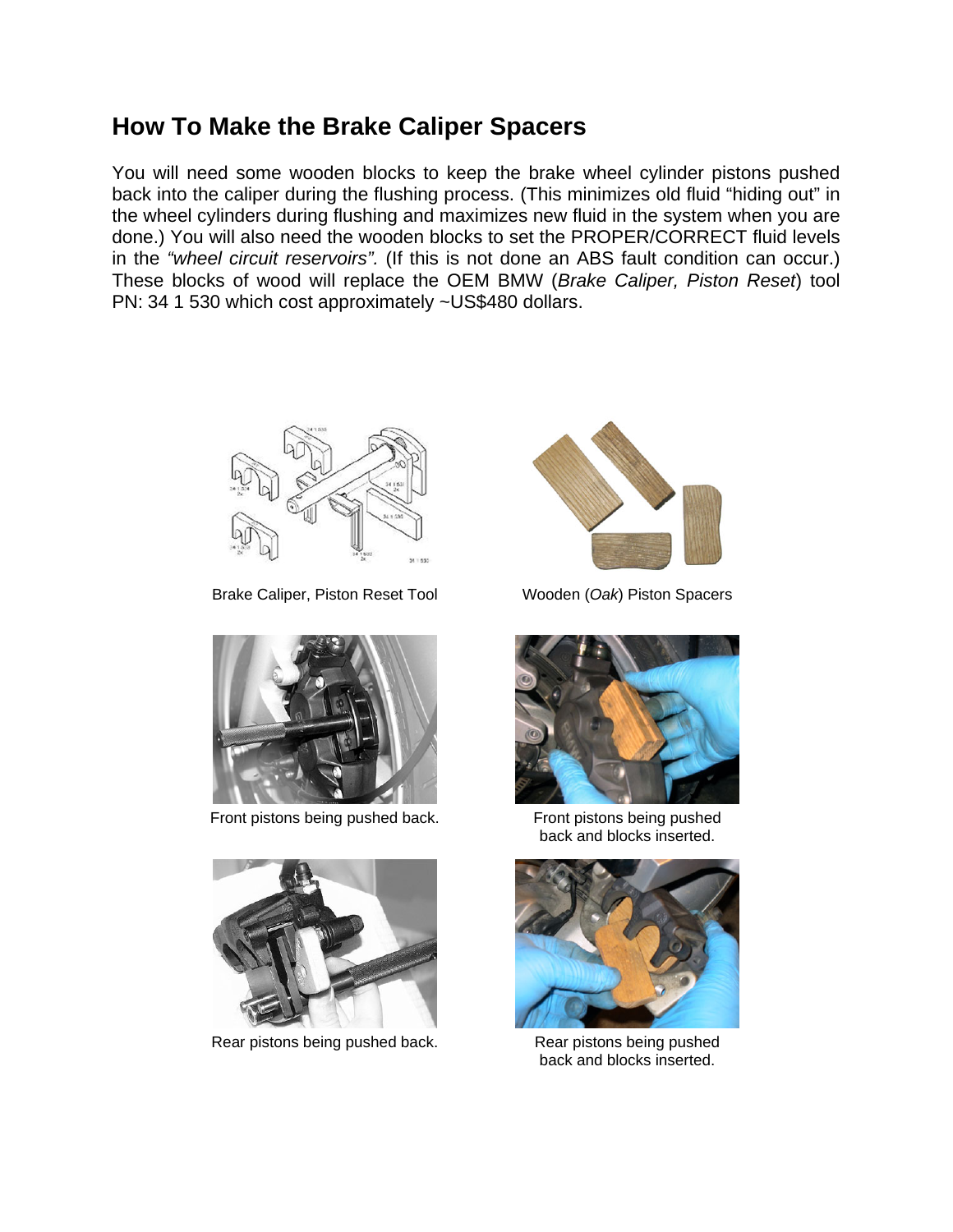# **How To Make the Brake Caliper Spacers**

You will need some wooden blocks to keep the brake wheel cylinder pistons pushed back into the caliper during the flushing process. (This minimizes old fluid "hiding out" in the wheel cylinders during flushing and maximizes new fluid in the system when you are done.) You will also need the wooden blocks to set the PROPER/CORRECT fluid levels in the *"wheel circuit reservoirs".* (If this is not done an ABS fault condition can occur.) These blocks of wood will replace the OEM BMW (*Brake Caliper, Piston Reset*) tool PN: 34 1 530 which cost approximately ~US\$480 dollars.



Brake Caliper, Piston Reset Tool Wooden (*Oak*) Piston Spacers



Front pistons being pushed back.



Rear pistons being pushed back.





Front pistons being pushed back and blocks inserted.



Rear pistons being pushed back and blocks inserted.